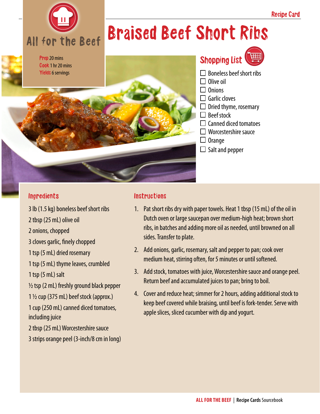

## Braised Beef Short Ribs



#### **Ingredients**

3 lb (1.5 kg) boneless beef short ribs 2 tbsp (25 mL) olive oil

- 2 onions, chopped
- 3 cloves garlic, finely chopped

1 tsp (5 mL) dried rosemary

1 tsp (5 mL) thyme leaves, crumbled

1 tsp (5 mL) salt

 $\frac{1}{2}$  tsp (2 mL) freshly ground black pepper

1 ½ cup (375 mL) beef stock (approx.)

1 cup (250 mL) canned diced tomatoes, including juice

2 tbsp (25 mL) Worcestershire sauce

3 strips orange peel (3-inch/8 cm in long)

### **Instructions**

- 1. Pat short ribs dry with paper towels. Heat 1 tbsp (15 mL) of the oil in Dutch oven or large saucepan over medium-high heat; brown short ribs, in batches and adding more oil as needed, until browned on all sides. Transfer to plate.
- 2. Add onions, garlic, rosemary, salt and pepper to pan; cook over medium heat, stirring often, for 5 minutes or until softened.
- 3. Add stock, tomatoes with juice, Worcestershire sauce and orange peel. Return beef and accumulated juices to pan; bring to boil.
- 4. Cover and reduce heat; simmer for 2 hours, adding additional stock to keep beef covered while braising, until beef is fork-tender. Serve with apple slices, sliced cucumber with dip and yogurt.